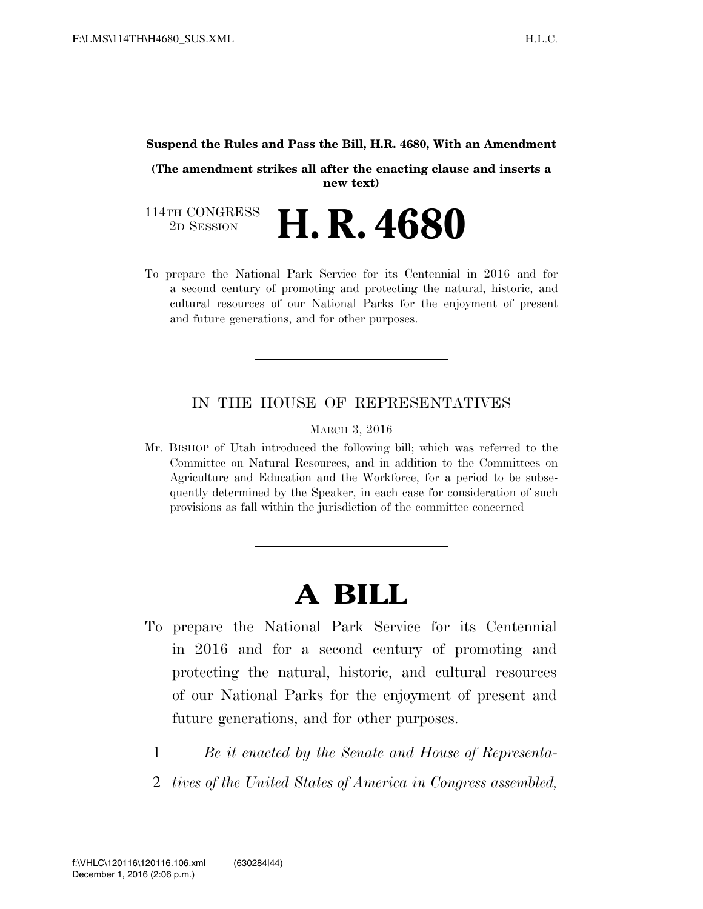#### **Suspend the Rules and Pass the Bill, H.R. 4680, With an Amendment**

**(The amendment strikes all after the enacting clause and inserts a new text)** 

114TH CONGRESS<br>2D SESSION 2D SESSION **H. R. 4680**

To prepare the National Park Service for its Centennial in 2016 and for a second century of promoting and protecting the natural, historic, and cultural resources of our National Parks for the enjoyment of present and future generations, and for other purposes.

### IN THE HOUSE OF REPRESENTATIVES

MARCH 3, 2016

Mr. BISHOP of Utah introduced the following bill; which was referred to the Committee on Natural Resources, and in addition to the Committees on Agriculture and Education and the Workforce, for a period to be subsequently determined by the Speaker, in each case for consideration of such provisions as fall within the jurisdiction of the committee concerned

# **A BILL**

- To prepare the National Park Service for its Centennial in 2016 and for a second century of promoting and protecting the natural, historic, and cultural resources of our National Parks for the enjoyment of present and future generations, and for other purposes.
	- 1 *Be it enacted by the Senate and House of Representa-*
	- 2 *tives of the United States of America in Congress assembled,*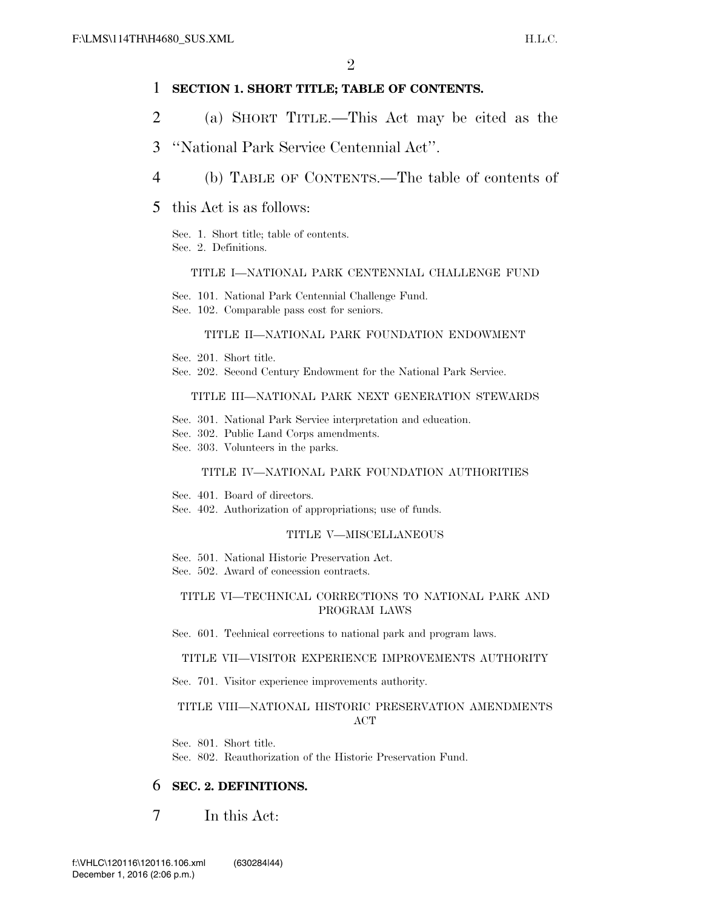#### 1 **SECTION 1. SHORT TITLE; TABLE OF CONTENTS.**

- 2 (a) SHORT TITLE.—This Act may be cited as the
- 3 ''National Park Service Centennial Act''.
- 4 (b) TABLE OF CONTENTS.—The table of contents of
- 5 this Act is as follows:
	- Sec. 1. Short title; table of contents. Sec. 2. Definitions.

#### TITLE I—NATIONAL PARK CENTENNIAL CHALLENGE FUND

- Sec. 101. National Park Centennial Challenge Fund.
- Sec. 102. Comparable pass cost for seniors.

#### TITLE II—NATIONAL PARK FOUNDATION ENDOWMENT

- Sec. 201. Short title.
- Sec. 202. Second Century Endowment for the National Park Service.

#### TITLE III—NATIONAL PARK NEXT GENERATION STEWARDS

- Sec. 301. National Park Service interpretation and education.
- Sec. 302. Public Land Corps amendments.
- Sec. 303. Volunteers in the parks.

#### TITLE IV—NATIONAL PARK FOUNDATION AUTHORITIES

Sec. 401. Board of directors.

Sec. 402. Authorization of appropriations; use of funds.

#### TITLE V—MISCELLANEOUS

- Sec. 501. National Historic Preservation Act.
- Sec. 502. Award of concession contracts.

#### TITLE VI—TECHNICAL CORRECTIONS TO NATIONAL PARK AND PROGRAM LAWS

Sec. 601. Technical corrections to national park and program laws.

#### TITLE VII—VISITOR EXPERIENCE IMPROVEMENTS AUTHORITY

Sec. 701. Visitor experience improvements authority.

#### TITLE VIII—NATIONAL HISTORIC PRESERVATION AMENDMENTS ACT

Sec. 801. Short title. Sec. 802. Reauthorization of the Historic Preservation Fund.

## 6 **SEC. 2. DEFINITIONS.**

7 In this Act: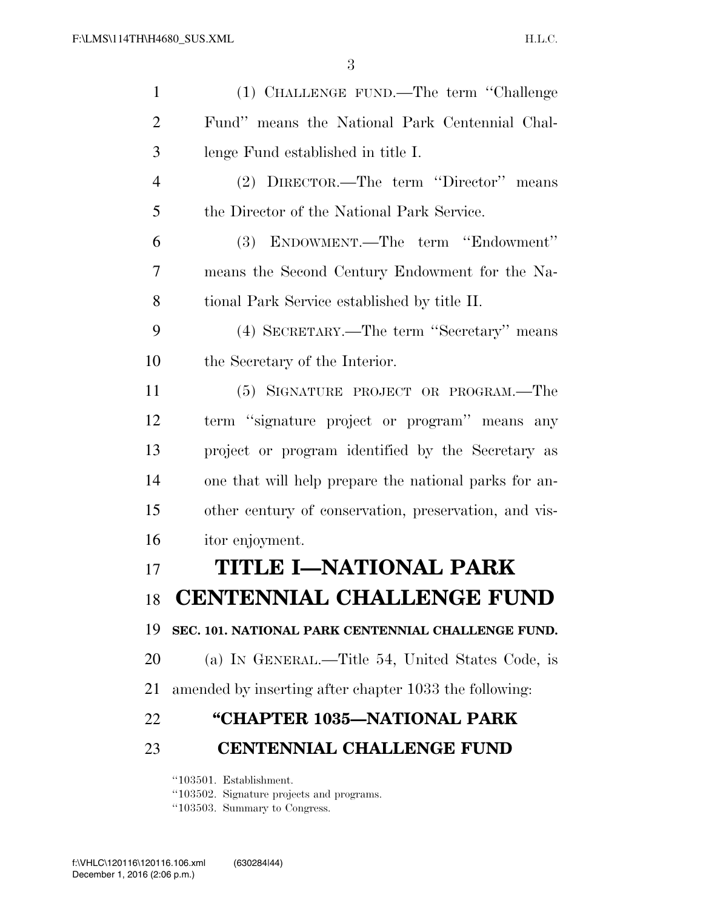| $\mathbf{1}$   | (1) CHALLENGE FUND.—The term "Challenge                |
|----------------|--------------------------------------------------------|
| $\overline{2}$ | Fund" means the National Park Centennial Chal-         |
| 3              | lenge Fund established in title I.                     |
| $\overline{4}$ | (2) DIRECTOR.—The term "Director" means                |
| 5              | the Director of the National Park Service.             |
| 6              | (3) ENDOWMENT.—The term "Endowment"                    |
| 7              | means the Second Century Endowment for the Na-         |
| 8              | tional Park Service established by title II.           |
| 9              | (4) SECRETARY.—The term "Secretary" means              |
| 10             | the Secretary of the Interior.                         |
| 11             | (5) SIGNATURE PROJECT OR PROGRAM.—The                  |
| 12             | term "signature project or program" means any          |
| 13             | project or program identified by the Secretary as      |
| 14             | one that will help prepare the national parks for an-  |
| 15             | other century of conservation, preservation, and vis-  |
| 16             | itor enjoyment.                                        |
| 17             | <b>TITLE I-NATIONAL PARK</b>                           |
| 18             | <b>CENTENNIAL CHALLENGE FUND</b>                       |
| 19             | SEC. 101. NATIONAL PARK CENTENNIAL CHALLENGE FUND.     |
| 20             | (a) IN GENERAL.—Title 54, United States Code, is       |
| 21             | amended by inserting after chapter 1033 the following: |
| 22             | "CHAPTER 1035-NATIONAL PARK                            |
| 23             | <b>CENTENNIAL CHALLENGE FUND</b>                       |
|                | "103501. Establishment.                                |

''103502. Signature projects and programs.

''103503. Summary to Congress.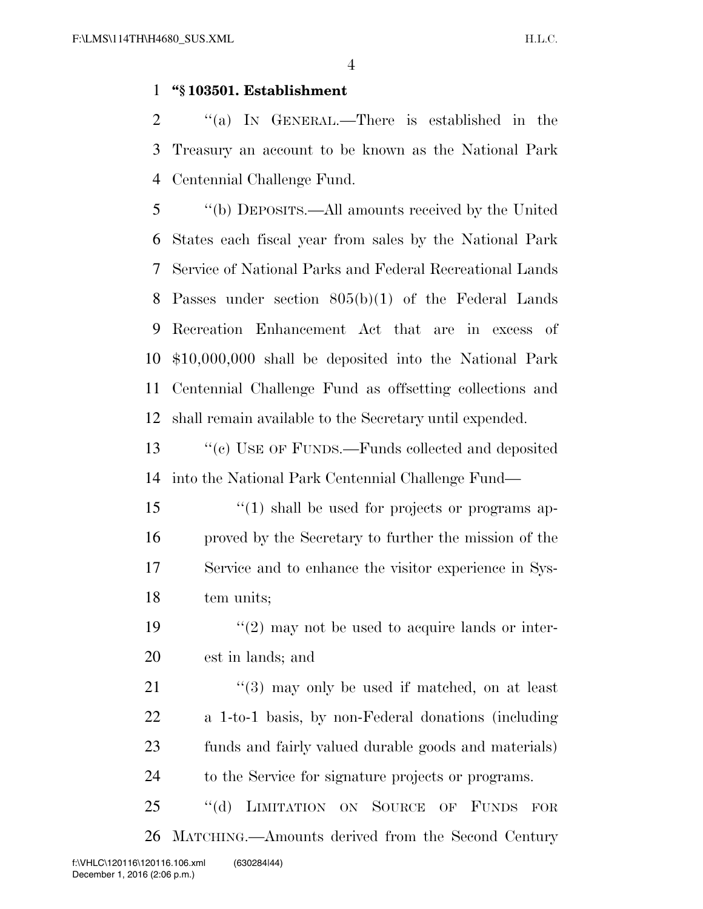#### **''§ 103501. Establishment**

 ''(a) IN GENERAL.—There is established in the Treasury an account to be known as the National Park Centennial Challenge Fund.

 ''(b) DEPOSITS.—All amounts received by the United States each fiscal year from sales by the National Park Service of National Parks and Federal Recreational Lands Passes under section 805(b)(1) of the Federal Lands Recreation Enhancement Act that are in excess of \$10,000,000 shall be deposited into the National Park Centennial Challenge Fund as offsetting collections and shall remain available to the Secretary until expended.

13 "(c) USE OF FUNDS.—Funds collected and deposited into the National Park Centennial Challenge Fund—

- 15 "(1) shall be used for projects or programs ap- proved by the Secretary to further the mission of the Service and to enhance the visitor experience in Sys-tem units;
- 19  $\frac{1}{2}$  may not be used to acquire lands or inter-est in lands; and
- 21 ''(3) may only be used if matched, on at least a 1-to-1 basis, by non-Federal donations (including funds and fairly valued durable goods and materials) to the Service for signature projects or programs.

25 "(d) LIMITATION ON SOURCE OF FUNDS FOR MATCHING.—Amounts derived from the Second Century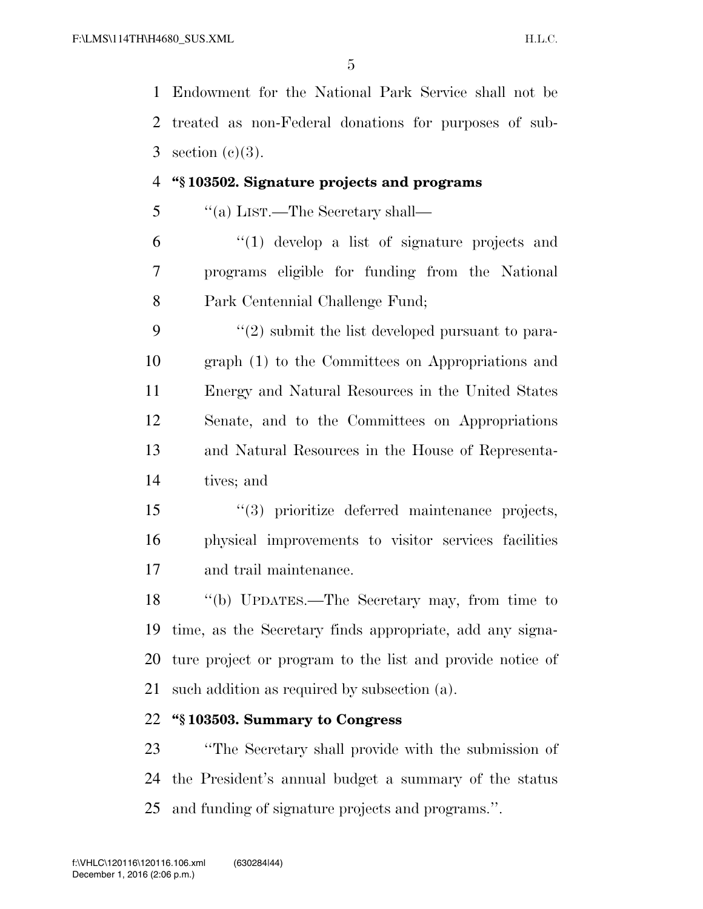Endowment for the National Park Service shall not be treated as non-Federal donations for purposes of sub-3 section  $(c)(3)$ .

### **''§ 103502. Signature projects and programs**

''(a) LIST.—The Secretary shall—

 ''(1) develop a list of signature projects and programs eligible for funding from the National Park Centennial Challenge Fund;

 $(2)$  submit the list developed pursuant to para- graph (1) to the Committees on Appropriations and Energy and Natural Resources in the United States Senate, and to the Committees on Appropriations and Natural Resources in the House of Representa-tives; and

 ''(3) prioritize deferred maintenance projects, physical improvements to visitor services facilities and trail maintenance.

 ''(b) UPDATES.—The Secretary may, from time to time, as the Secretary finds appropriate, add any signa- ture project or program to the list and provide notice of such addition as required by subsection (a).

## **''§ 103503. Summary to Congress**

 ''The Secretary shall provide with the submission of the President's annual budget a summary of the status and funding of signature projects and programs.''.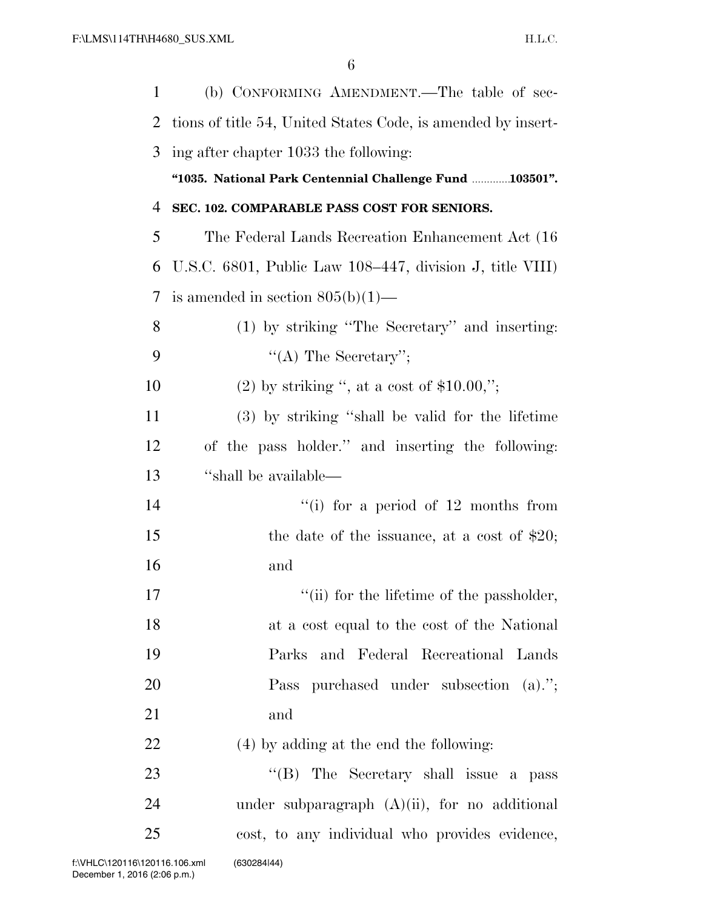| 1  | (b) CONFORMING AMENDMENT.—The table of sec-                  |
|----|--------------------------------------------------------------|
| 2  | tions of title 54, United States Code, is amended by insert- |
| 3  | ing after chapter 1033 the following:                        |
|    | "1035. National Park Centennial Challenge Fund 103501".      |
| 4  | SEC. 102. COMPARABLE PASS COST FOR SENIORS.                  |
| 5  | The Federal Lands Recreation Enhancement Act (16)            |
| 6  | U.S.C. 6801, Public Law 108–447, division J, title VIII)     |
| 7  | is amended in section $805(b)(1)$ —                          |
| 8  | (1) by striking "The Secretary" and inserting:               |
| 9  | "(A) The Secretary";                                         |
| 10 | $(2)$ by striking ", at a cost of \$10.00,";                 |
| 11 | (3) by striking "shall be valid for the lifetime             |
| 12 | of the pass holder." and inserting the following:            |
| 13 | "shall be available—                                         |
| 14 | "(i) for a period of $12$ months from                        |
| 15 | the date of the issuance, at a cost of $$20;$                |
| 16 | and                                                          |
| 17 | $\lq\lq$ (ii) for the lifetime of the passholder,            |
| 18 | at a cost equal to the cost of the National                  |
| 19 | Parks and Federal Recreational Lands                         |
| 20 | Pass purchased under subsection (a).";                       |
| 21 | and                                                          |
| 22 | (4) by adding at the end the following:                      |
| 23 | "(B) The Secretary shall issue a pass                        |
| 24 | under subparagraph $(A)(ii)$ , for no additional             |
| 25 | cost, to any individual who provides evidence,               |
|    |                                                              |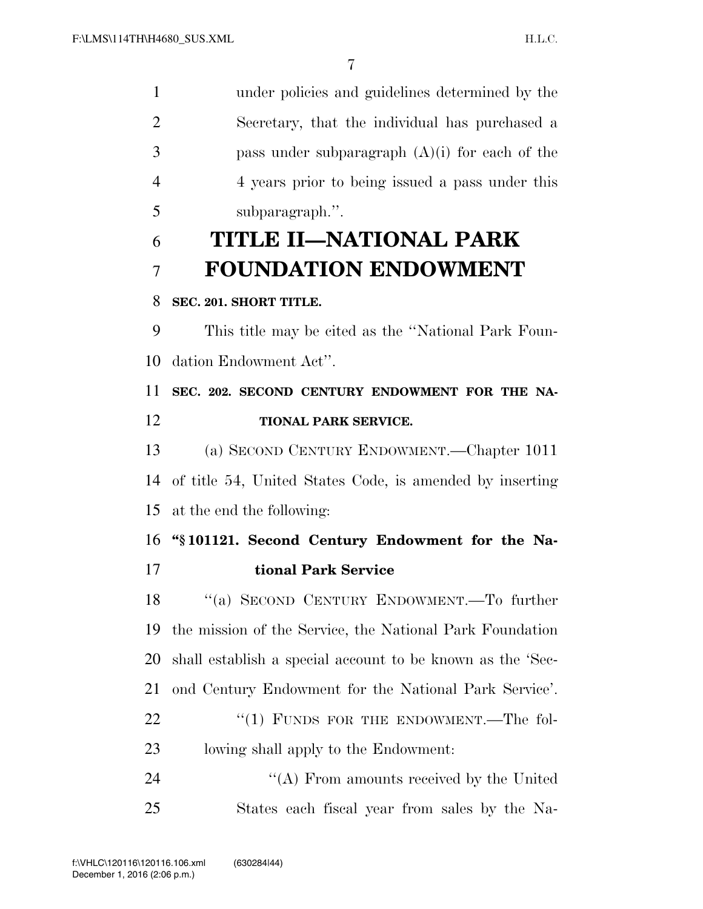under policies and guidelines determined by the Secretary, that the individual has purchased a pass under subparagraph (A)(i) for each of the 4 years prior to being issued a pass under this subparagraph.''. **TITLE II—NATIONAL PARK FOUNDATION ENDOWMENT SEC. 201. SHORT TITLE.**  This title may be cited as the ''National Park Foun- dation Endowment Act''. **SEC. 202. SECOND CENTURY ENDOWMENT FOR THE NA- TIONAL PARK SERVICE.**  (a) SECOND CENTURY ENDOWMENT.—Chapter 1011

 of title 54, United States Code, is amended by inserting at the end the following:

 **''§ 101121. Second Century Endowment for the Na-tional Park Service** 

 ''(a) SECOND CENTURY ENDOWMENT.—To further the mission of the Service, the National Park Foundation shall establish a special account to be known as the 'Sec- ond Century Endowment for the National Park Service'. 22 "(1) FUNDS FOR THE ENDOWMENT.—The fol-lowing shall apply to the Endowment:

24 "(A) From amounts received by the United States each fiscal year from sales by the Na-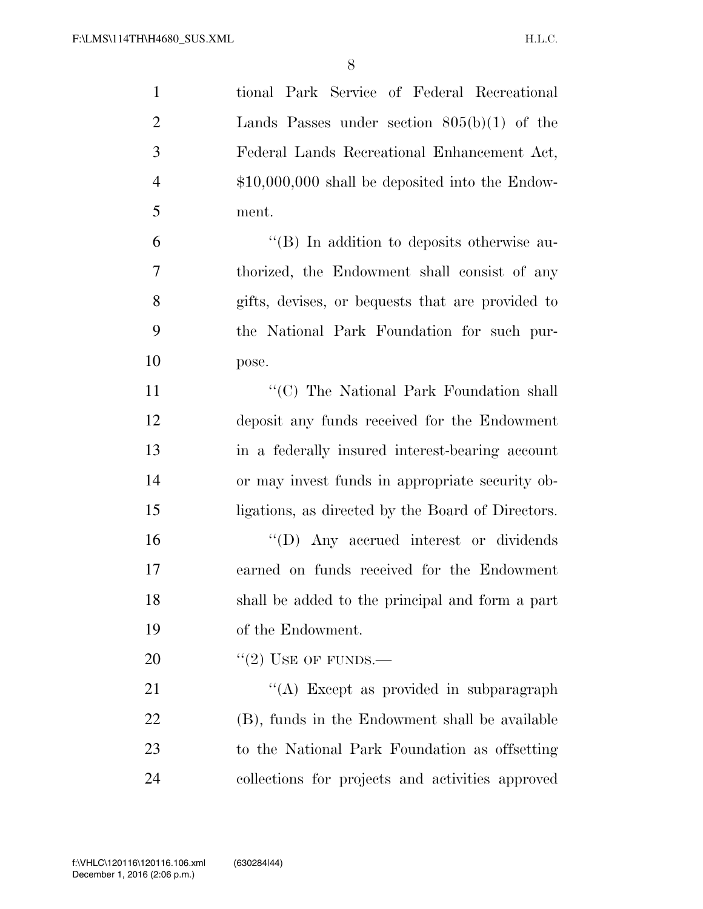| $\mathbf{1}$   | tional Park Service of Federal Recreational       |
|----------------|---------------------------------------------------|
| $\overline{2}$ | Lands Passes under section $805(b)(1)$ of the     |
| 3              | Federal Lands Recreational Enhancement Act,       |
| $\overline{4}$ | $$10,000,000$ shall be deposited into the Endow-  |
| 5              | ment.                                             |
| 6              | "(B) In addition to deposits otherwise au-        |
| 7              | thorized, the Endowment shall consist of any      |
| 8              | gifts, devises, or bequests that are provided to  |
| 9              | the National Park Foundation for such pur-        |
| 10             | pose.                                             |
| 11             | "(C) The National Park Foundation shall           |
| 12             | deposit any funds received for the Endowment      |
| 13             | in a federally insured interest-bearing account   |
| 14             | or may invest funds in appropriate security ob-   |
| 15             | ligations, as directed by the Board of Directors. |
| 16             | "(D) Any accrued interest or dividends            |
| 17             | earned on funds received for the Endowment        |
| 18             | shall be added to the principal and form a part   |
| 19             | of the Endowment.                                 |
| 20             | $``(2)$ USE OF FUNDS.—                            |
| 21             | "(A) Except as provided in subparagraph           |
| 22             | (B), funds in the Endowment shall be available    |
| 23             | to the National Park Foundation as offsetting     |
| 24             | collections for projects and activities approved  |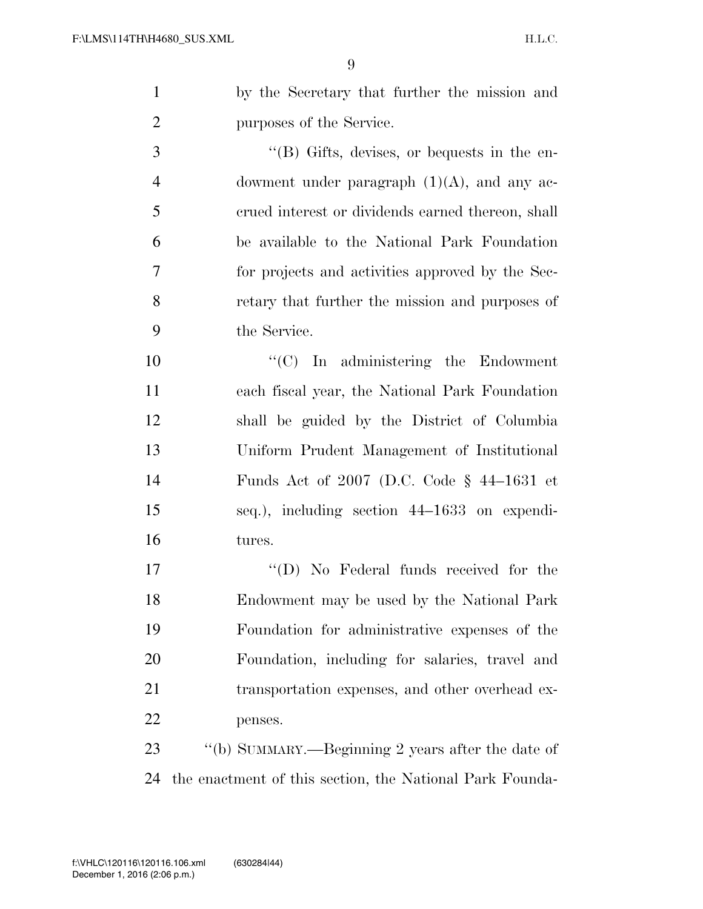by the Secretary that further the mission and purposes of the Service.

3 ''(B) Gifts, devises, or bequests in the en- dowment under paragraph (1)(A), and any ac- crued interest or dividends earned thereon, shall be available to the National Park Foundation for projects and activities approved by the Sec- retary that further the mission and purposes of the Service.

 ''(C) In administering the Endowment each fiscal year, the National Park Foundation shall be guided by the District of Columbia Uniform Prudent Management of Institutional Funds Act of 2007 (D.C. Code § 44–1631 et seq.), including section 44–1633 on expendi-tures.

 $\text{``(D)}$  No Federal funds received for the Endowment may be used by the National Park Foundation for administrative expenses of the Foundation, including for salaries, travel and 21 transportation expenses, and other overhead ex-penses.

23 "(b) SUMMARY.—Beginning 2 years after the date of the enactment of this section, the National Park Founda-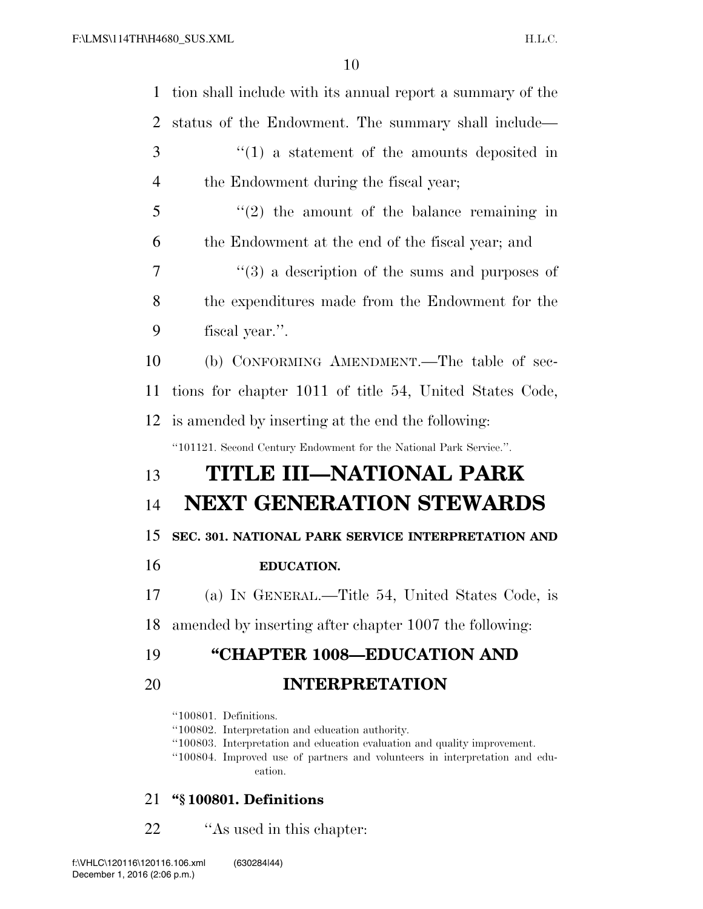| 1              | tion shall include with its annual report a summary of the                                                                                                                                                                                       |
|----------------|--------------------------------------------------------------------------------------------------------------------------------------------------------------------------------------------------------------------------------------------------|
| 2              | status of the Endowment. The summary shall include—                                                                                                                                                                                              |
| 3              | $f(1)$ a statement of the amounts deposited in                                                                                                                                                                                                   |
| $\overline{4}$ | the Endowment during the fiscal year;                                                                                                                                                                                                            |
| 5              | $f'(2)$ the amount of the balance remaining in                                                                                                                                                                                                   |
| 6              | the Endowment at the end of the fiscal year; and                                                                                                                                                                                                 |
| 7              | $\cdot\cdot$ (3) a description of the sums and purposes of                                                                                                                                                                                       |
| 8              | the expenditures made from the Endowment for the                                                                                                                                                                                                 |
| 9              | fiscal year.".                                                                                                                                                                                                                                   |
| 10             | (b) CONFORMING AMENDMENT.—The table of sec-                                                                                                                                                                                                      |
| 11             | tions for chapter 1011 of title 54, United States Code,                                                                                                                                                                                          |
| 12             | is amended by inserting at the end the following:                                                                                                                                                                                                |
|                | "101121. Second Century Endowment for the National Park Service.".                                                                                                                                                                               |
| 13             | TITLE III-NATIONAL PARK                                                                                                                                                                                                                          |
| 14             | <b>NEXT GENERATION STEWARDS</b>                                                                                                                                                                                                                  |
| 15             | SEC. 301. NATIONAL PARK SERVICE INTERPRETATION AND                                                                                                                                                                                               |
| 16             | EDUCATION.                                                                                                                                                                                                                                       |
| 17             | (a) IN GENERAL.—Title 54, United States Code, is                                                                                                                                                                                                 |
| 18             | amended by inserting after chapter 1007 the following:                                                                                                                                                                                           |
| 19             | "CHAPTER 1008-EDUCATION AND                                                                                                                                                                                                                      |
| 20             | <b>INTERPRETATION</b>                                                                                                                                                                                                                            |
|                | "100801. Definitions.<br>"100802. Interpretation and education authority.<br>"100803. Interpretation and education evaluation and quality improvement.<br>"100804. Improved use of partners and volunteers in interpretation and edu-<br>cation. |

## 21 **''§ 100801. Definitions**

22 ''As used in this chapter: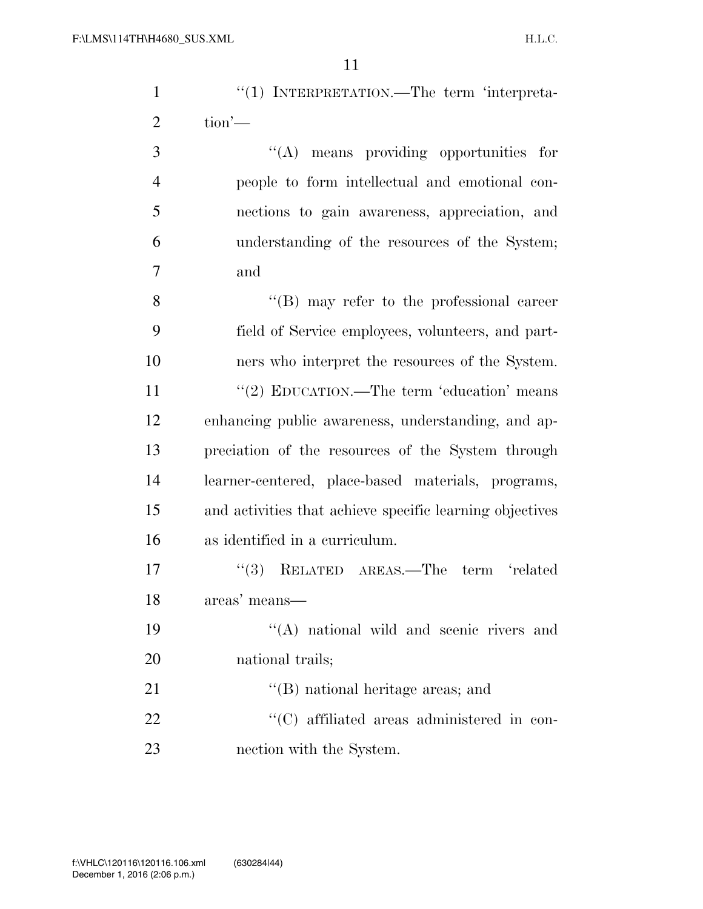| $\mathbf{1}$   | "(1) INTERPRETATION.—The term 'interpreta-               |
|----------------|----------------------------------------------------------|
| $\overline{2}$ | $\text{tion}'$                                           |
| 3              | $\lq\lq$ means providing opportunities for               |
| $\overline{4}$ | people to form intellectual and emotional con-           |
| 5              | nections to gain awareness, appreciation, and            |
| 6              | understanding of the resources of the System;            |
| 7              | and                                                      |
| 8              | $\lq\lq$ (B) may refer to the professional career        |
| 9              | field of Service employees, volunteers, and part-        |
| 10             | ners who interpret the resources of the System.          |
| 11             | "(2) EDUCATION.—The term 'education' means               |
| 12             | enhancing public awareness, understanding, and ap-       |
| 13             | preciation of the resources of the System through        |
| 14             | learner-centered, place-based materials, programs,       |
| 15             | and activities that achieve specific learning objectives |
| 16             | as identified in a curriculum.                           |
| 17             | "(3) RELATED AREAS.—The term 'related                    |
| 18             | areas' means—                                            |
| 19             | "(A) national wild and scenic rivers and                 |
| 20             | national trails;                                         |
| 21             | $\lq$ (B) national heritage areas; and                   |
| 22             | "(C) affiliated areas administered in con-               |
| 23             | nection with the System.                                 |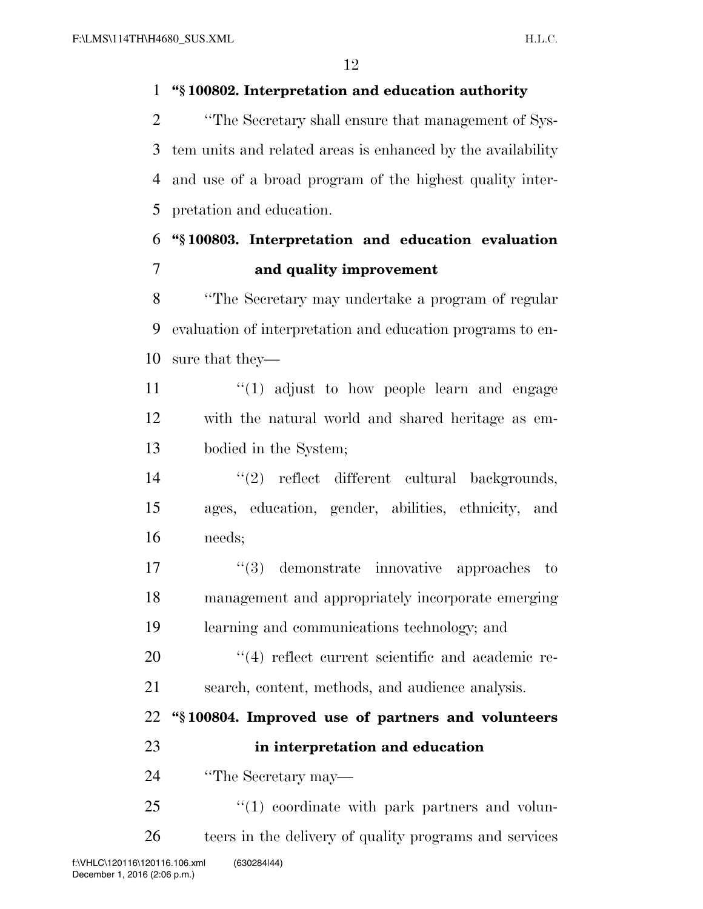## **''§ 100802. Interpretation and education authority**

 ''The Secretary shall ensure that management of Sys- tem units and related areas is enhanced by the availability and use of a broad program of the highest quality inter-pretation and education.

## **''§ 100803. Interpretation and education evaluation and quality improvement**

 ''The Secretary may undertake a program of regular evaluation of interpretation and education programs to en-sure that they—

11  $\frac{u(1)}{1}$  adjust to how people learn and engage with the natural world and shared heritage as em-bodied in the System;

14  $\frac{1}{2}$  reflect different cultural backgrounds, ages, education, gender, abilities, ethnicity, and needs;

17  $\frac{1}{3}$  demonstrate innovative approaches to management and appropriately incorporate emerging learning and communications technology; and

20  $\frac{u}{4}$  reflect current scientific and academic re-search, content, methods, and audience analysis.

 **''§ 100804. Improved use of partners and volunteers in interpretation and education** 

''The Secretary may—

  $(1)$  coordinate with park partners and volun-teers in the delivery of quality programs and services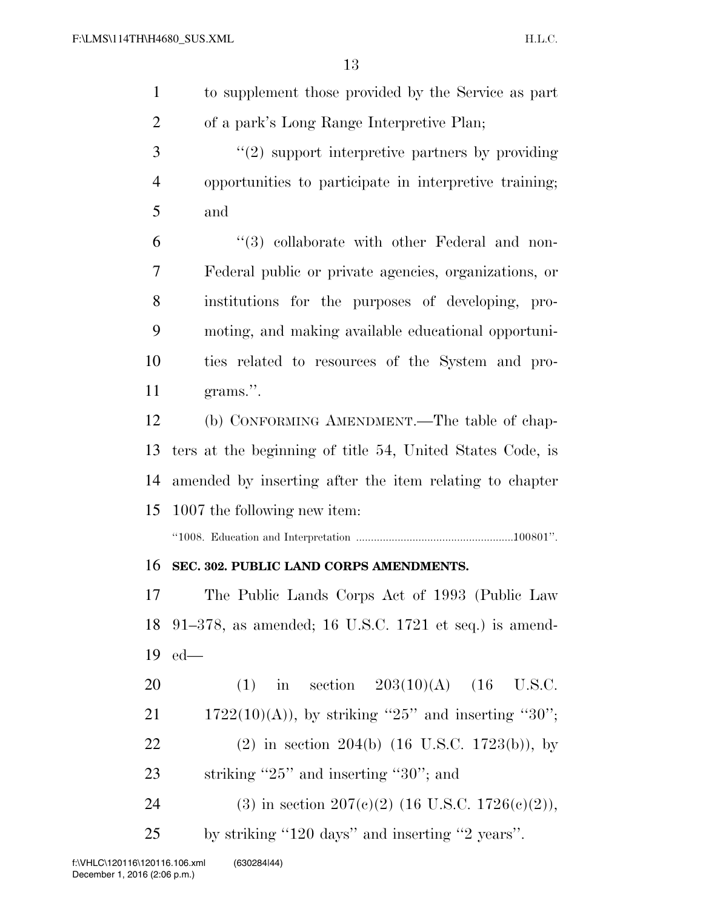| $\mathbf{1}$   | to supplement those provided by the Service as part         |
|----------------|-------------------------------------------------------------|
| $\overline{2}$ | of a park's Long Range Interpretive Plan;                   |
| 3              | $f'(2)$ support interpretive partners by providing          |
| $\overline{4}$ | opportunities to participate in interpretive training;      |
| 5              | and                                                         |
| 6              | "(3) collaborate with other Federal and non-                |
| 7              | Federal public or private agencies, organizations, or       |
| 8              | institutions for the purposes of developing, pro-           |
| 9              | moting, and making available educational opportuni-         |
| 10             | ties related to resources of the System and pro-            |
| 11             | grams.".                                                    |
| 12             | (b) CONFORMING AMENDMENT.—The table of chap-                |
| 13             | ters at the beginning of title 54, United States Code, is   |
| 14             | amended by inserting after the item relating to chapter     |
| 15             | 1007 the following new item:                                |
|                |                                                             |
| 16             | SEC. 302. PUBLIC LAND CORPS AMENDMENTS.                     |
| 17             | The Public Lands Corps Act of 1993 (Public Law              |
| 18             | 91–378, as amended; 16 U.S.C. 1721 et seq.) is amend-       |
| 19             | $ed$ —                                                      |
| 20             | (1) in section $203(10)(A)$ (16 U.S.C.                      |
| 21             | $1722(10)(A)$ , by striking "25" and inserting "30";        |
| 22             | $(2)$ in section 204(b) $(16 \text{ U.S.C. } 1723(b))$ , by |
| 23             | striking " $25$ " and inserting " $30$ "; and               |
| 24             | (3) in section 207(c)(2) (16 U.S.C. 1726(c)(2)),            |
| 25             | by striking "120 days" and inserting "2 years".             |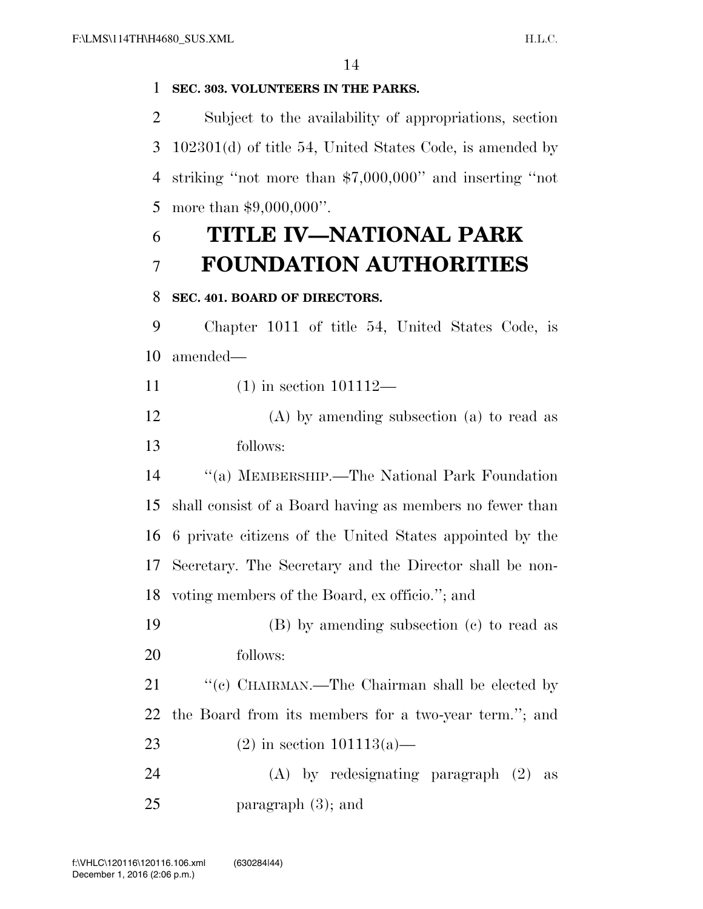### **SEC. 303. VOLUNTEERS IN THE PARKS.**

 Subject to the availability of appropriations, section 102301(d) of title 54, United States Code, is amended by striking ''not more than \$7,000,000'' and inserting ''not more than \$9,000,000''.

## **TITLE IV—NATIONAL PARK FOUNDATION AUTHORITIES**

### **SEC. 401. BOARD OF DIRECTORS.**

 Chapter 1011 of title 54, United States Code, is amended—

- (1) in section 101112—
- (A) by amending subsection (a) to read as follows:

 ''(a) MEMBERSHIP.—The National Park Foundation shall consist of a Board having as members no fewer than 6 private citizens of the United States appointed by the Secretary. The Secretary and the Director shall be non-voting members of the Board, ex officio.''; and

 (B) by amending subsection (c) to read as follows:

21 "'(c) CHAIRMAN.—The Chairman shall be elected by the Board from its members for a two-year term.''; and

23 (2) in section  $101113(a)$ —

 (A) by redesignating paragraph (2) as paragraph (3); and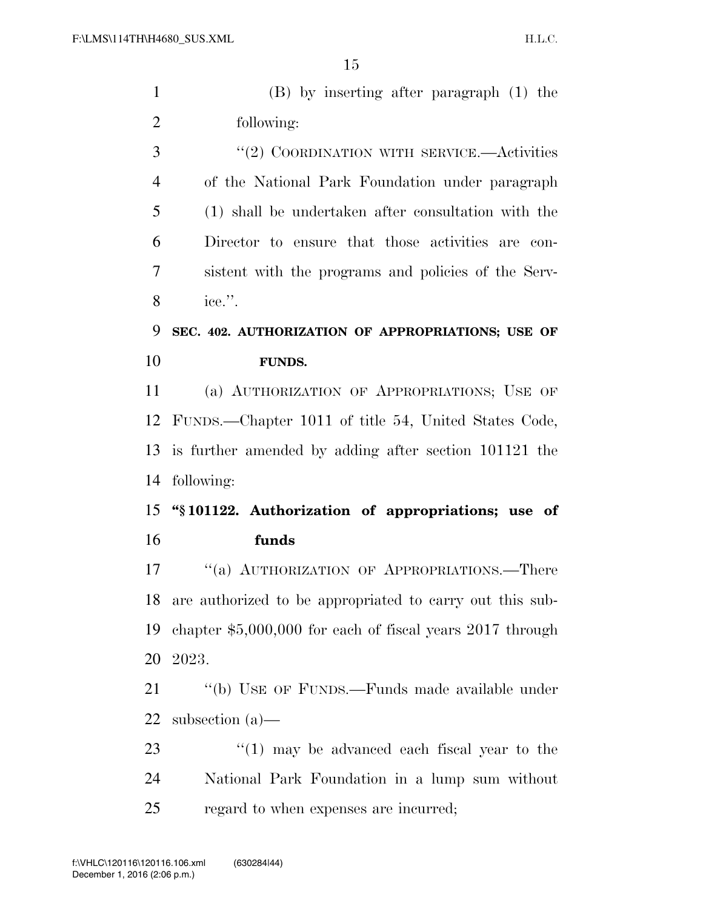| $\mathbf{1}$   | $(B)$ by inserting after paragraph $(1)$ the               |
|----------------|------------------------------------------------------------|
| $\overline{2}$ | following:                                                 |
| 3              | "(2) COORDINATION WITH SERVICE.—Activities                 |
| $\overline{4}$ | of the National Park Foundation under paragraph            |
| 5              | (1) shall be undertaken after consultation with the        |
| 6              | Director to ensure that those activities are con-          |
| 7              | sistent with the programs and policies of the Serv-        |
| 8              | ice.".                                                     |
| 9              | SEC. 402. AUTHORIZATION OF APPROPRIATIONS; USE OF          |
| 10             | <b>FUNDS.</b>                                              |
| 11             | (a) AUTHORIZATION OF APPROPRIATIONS; USE OF                |
|                | 12 FUNDS.—Chapter 1011 of title 54, United States Code,    |
| 13             | is further amended by adding after section 101121 the      |
| 14             | following:                                                 |
| 15             | "§101122. Authorization of appropriations; use of          |
| 16             | funds                                                      |
| 17             | "(a) AUTHORIZATION OF APPROPRIATIONS.—There                |
| 18             | are authorized to be appropriated to carry out this sub-   |
| 19             | chapter $$5,000,000$ for each of fiscal years 2017 through |
| 20             | 2023.                                                      |
| 21             | "(b) USE OF FUNDS.—Funds made available under              |
| <u>22</u>      | subsection $(a)$ —                                         |
| 23             | $\lq(1)$ may be advanced each fiscal year to the           |
| 24             | National Park Foundation in a lump sum without             |
| 25             | regard to when expenses are incurred;                      |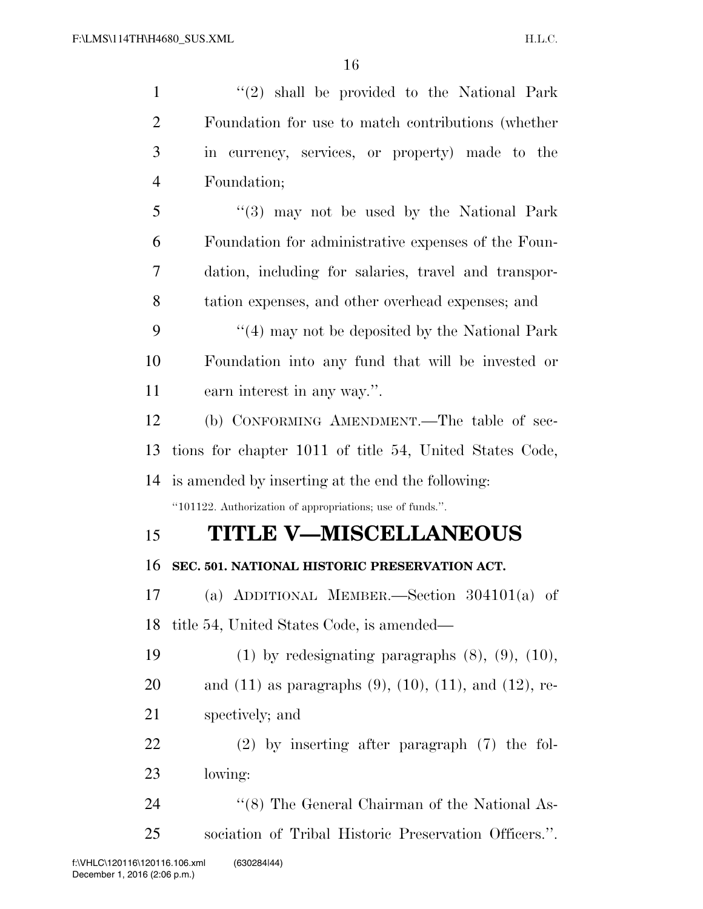| $\mathbf{1}$   | $(2)$ shall be provided to the National Park                        |
|----------------|---------------------------------------------------------------------|
| $\overline{2}$ | Foundation for use to match contributions (whether                  |
| 3              | in currency, services, or property) made to the                     |
| $\overline{4}$ | Foundation;                                                         |
| 5              | "(3) may not be used by the National Park                           |
| 6              | Foundation for administrative expenses of the Foun-                 |
| 7              | dation, including for salaries, travel and transpor-                |
| 8              | tation expenses, and other overhead expenses; and                   |
| 9              | $\cdot$ (4) may not be deposited by the National Park               |
| 10             | Foundation into any fund that will be invested or                   |
| 11             | earn interest in any way.".                                         |
| 12             | (b) CONFORMING AMENDMENT.—The table of sec-                         |
| 13             | tions for chapter 1011 of title 54, United States Code,             |
|                |                                                                     |
|                | 14 is amended by inserting at the end the following:                |
|                | "101122. Authorization of appropriations; use of funds.".           |
| 15             | <b>TITLE V-MISCELLANEOUS</b>                                        |
| 16             | SEC. 501. NATIONAL HISTORIC PRESERVATION ACT.                       |
| 17             | (a) ADDITIONAL MEMBER.—Section $304101(a)$ of                       |
| 18             | title 54, United States Code, is amended—                           |
| 19             | $(1)$ by redesignating paragraphs $(8)$ , $(9)$ , $(10)$ ,          |
| 20             | and $(11)$ as paragraphs $(9)$ , $(10)$ , $(11)$ , and $(12)$ , re- |
| 21             | spectively; and                                                     |
| 22             | $(2)$ by inserting after paragraph $(7)$ the fol-                   |
| 23             | lowing:                                                             |
| 24             | "(8) The General Chairman of the National As-                       |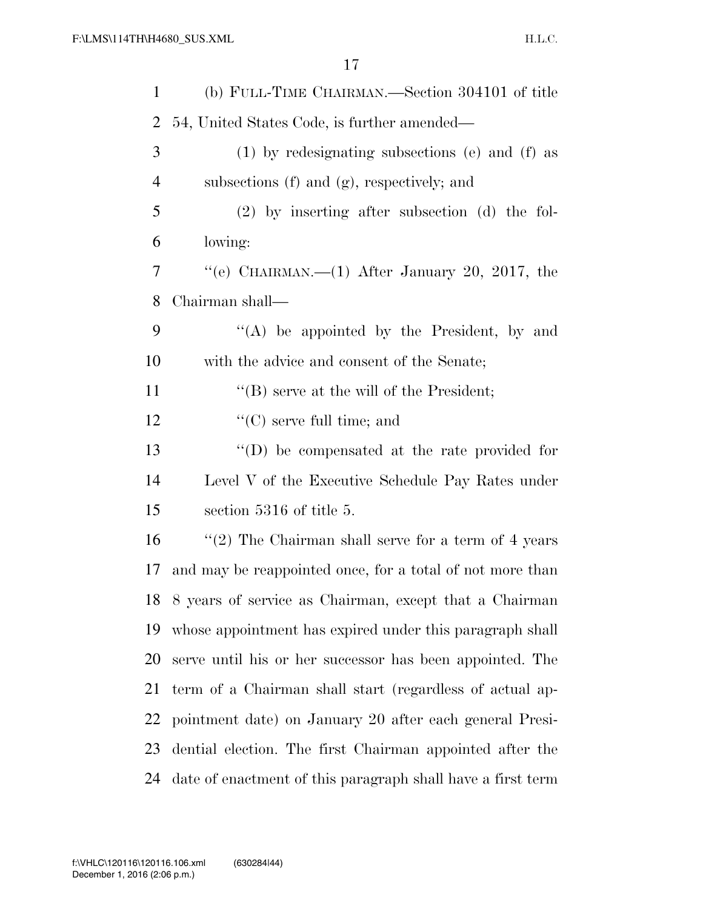| $\mathbf 1$    | (b) FULL-TIME CHAIRMAN.—Section 304101 of title             |
|----------------|-------------------------------------------------------------|
| 2              | 54, United States Code, is further amended—                 |
| 3              | $(1)$ by redesignating subsections (e) and (f) as           |
| $\overline{4}$ | subsections (f) and (g), respectively; and                  |
| 5              | $(2)$ by inserting after subsection $(d)$ the fol-          |
| 6              | lowing:                                                     |
| 7              | "(e) CHAIRMAN.—(1) After January 20, 2017, the              |
| 8              | Chairman shall—                                             |
| 9              | "(A) be appointed by the President, by and                  |
| 10             | with the advice and consent of the Senate;                  |
| 11             | "(B) serve at the will of the President;                    |
| 12             | $\lq\lq$ (C) serve full time; and                           |
| 13             | "(D) be compensated at the rate provided for                |
| 14             | Level V of the Executive Schedule Pay Rates under           |
| 15             | section 5316 of title 5.                                    |
| 16             | "(2) The Chairman shall serve for a term of 4 years         |
| 17             | and may be reappointed once, for a total of not more than   |
|                | 18 8 years of service as Chairman, except that a Chairman   |
| 19             | whose appointment has expired under this paragraph shall    |
| 20             | serve until his or her successor has been appointed. The    |
| 21             | term of a Chairman shall start (regardless of actual ap-    |
| 22             | pointment date) on January 20 after each general Presi-     |
| 23             | dential election. The first Chairman appointed after the    |
| 24             | date of enactment of this paragraph shall have a first term |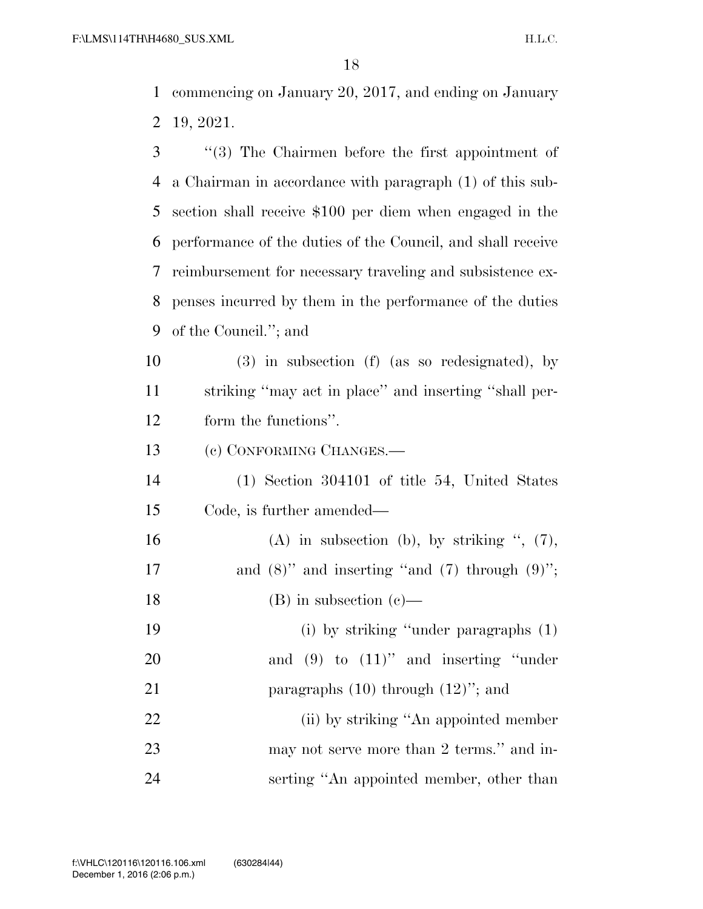commencing on January 20, 2017, and ending on January 19, 2021.

- ''(3) The Chairmen before the first appointment of a Chairman in accordance with paragraph (1) of this sub- section shall receive \$100 per diem when engaged in the performance of the duties of the Council, and shall receive reimbursement for necessary traveling and subsistence ex- penses incurred by them in the performance of the duties of the Council.''; and
- (3) in subsection (f) (as so redesignated), by striking ''may act in place'' and inserting ''shall per-form the functions''.
- (c) CONFORMING CHANGES.—
- (1) Section 304101 of title 54, United States Code, is further amended—
- 16 (A) in subsection (b), by striking  $\degree$ , (7), 17 and  $(8)$ " and inserting "and  $(7)$  through  $(9)$ "; 18 (B) in subsection  $(e)$ — (i) by striking ''under paragraphs (1) 20 and (9) to (11)" and inserting "under 21 paragraphs  $(10)$  through  $(12)$ "; and 22 (ii) by striking "An appointed member 23 may not serve more than 2 terms." and in-serting ''An appointed member, other than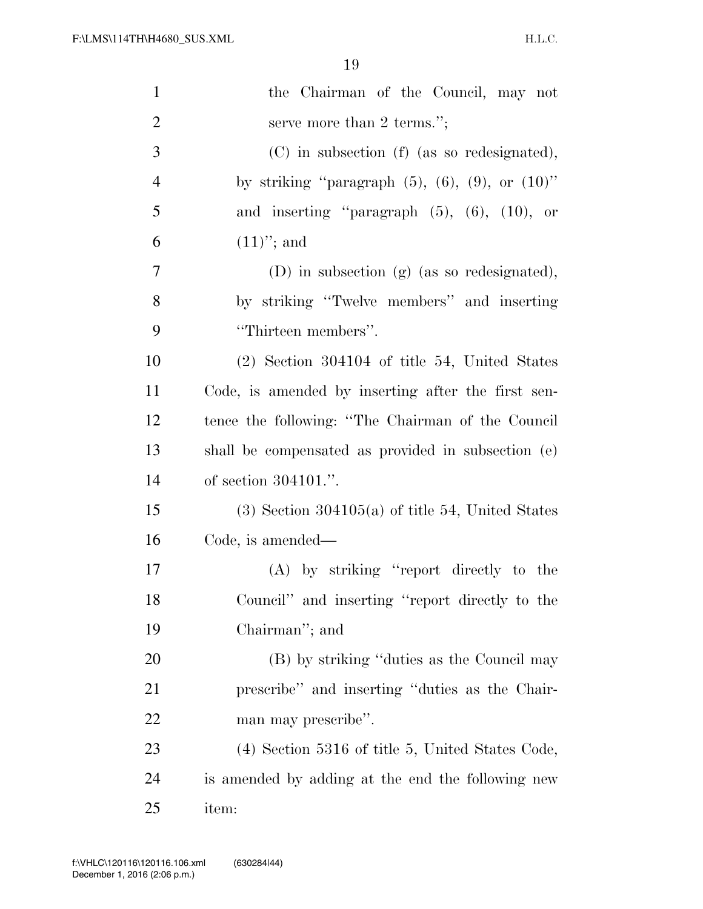| $\mathbf{1}$   | the Chairman of the Council, may not                       |
|----------------|------------------------------------------------------------|
| $\overline{2}$ | serve more than 2 terms.";                                 |
| 3              | (C) in subsection (f) (as so redesignated),                |
| $\overline{4}$ | by striking "paragraph $(5)$ , $(6)$ , $(9)$ , or $(10)$ " |
| 5              | and inserting "paragraph $(5)$ , $(6)$ , $(10)$ , or       |
| 6              | $(11)$ "; and                                              |
| 7              | $(D)$ in subsection $(g)$ (as so redesignated),            |
| 8              | by striking "Twelve members" and inserting                 |
| 9              | "Thirteen members".                                        |
| 10             | $(2)$ Section 304104 of title 54, United States            |
| 11             | Code, is amended by inserting after the first sen-         |
| 12             | tence the following: "The Chairman of the Council          |
| 13             | shall be compensated as provided in subsection (e)         |
| 14             | of section $304101$ .".                                    |
| 15             | $(3)$ Section 304105(a) of title 54, United States         |
| 16             | Code, is amended—                                          |
| 17             | (A) by striking "report directly to the                    |
| 18             | Council" and inserting "report directly to the             |
| 19             | Chairman"; and                                             |
| 20             | (B) by striking "duties as the Council may                 |
| 21             | prescribe" and inserting "duties as the Chair-             |
| 22             | man may prescribe".                                        |
| 23             | $(4)$ Section 5316 of title 5, United States Code,         |
| 24             | is amended by adding at the end the following new          |
| 25             | item:                                                      |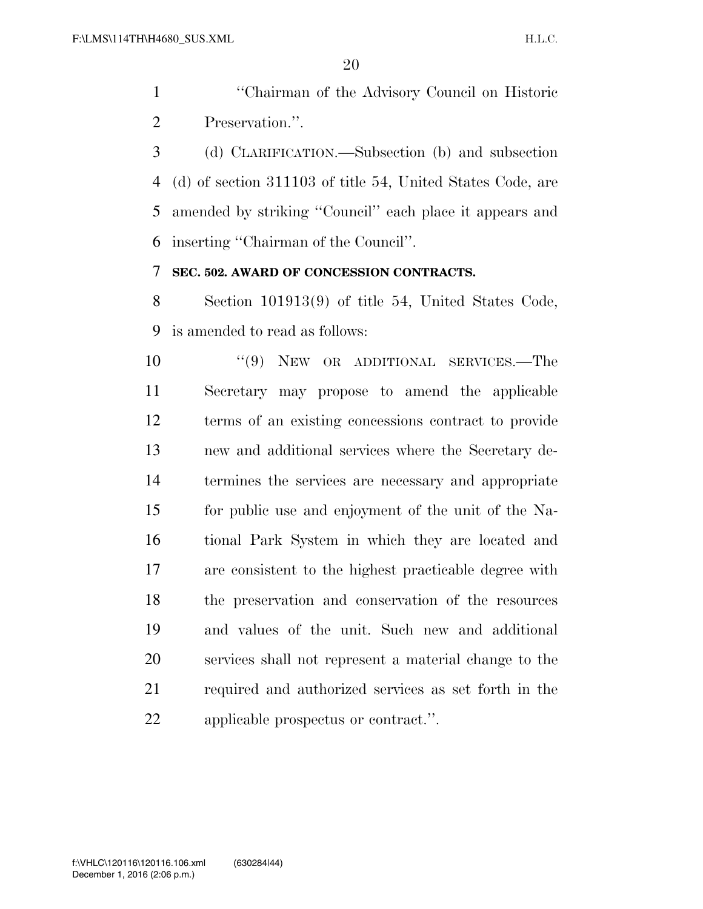''Chairman of the Advisory Council on Historic Preservation.''.

 (d) CLARIFICATION.—Subsection (b) and subsection (d) of section 311103 of title 54, United States Code, are amended by striking ''Council'' each place it appears and inserting ''Chairman of the Council''.

#### **SEC. 502. AWARD OF CONCESSION CONTRACTS.**

 Section 101913(9) of title 54, United States Code, is amended to read as follows:

10 "(9) NEW OR ADDITIONAL SERVICES.—The Secretary may propose to amend the applicable terms of an existing concessions contract to provide new and additional services where the Secretary de- termines the services are necessary and appropriate for public use and enjoyment of the unit of the Na- tional Park System in which they are located and are consistent to the highest practicable degree with the preservation and conservation of the resources and values of the unit. Such new and additional services shall not represent a material change to the required and authorized services as set forth in the applicable prospectus or contract.''.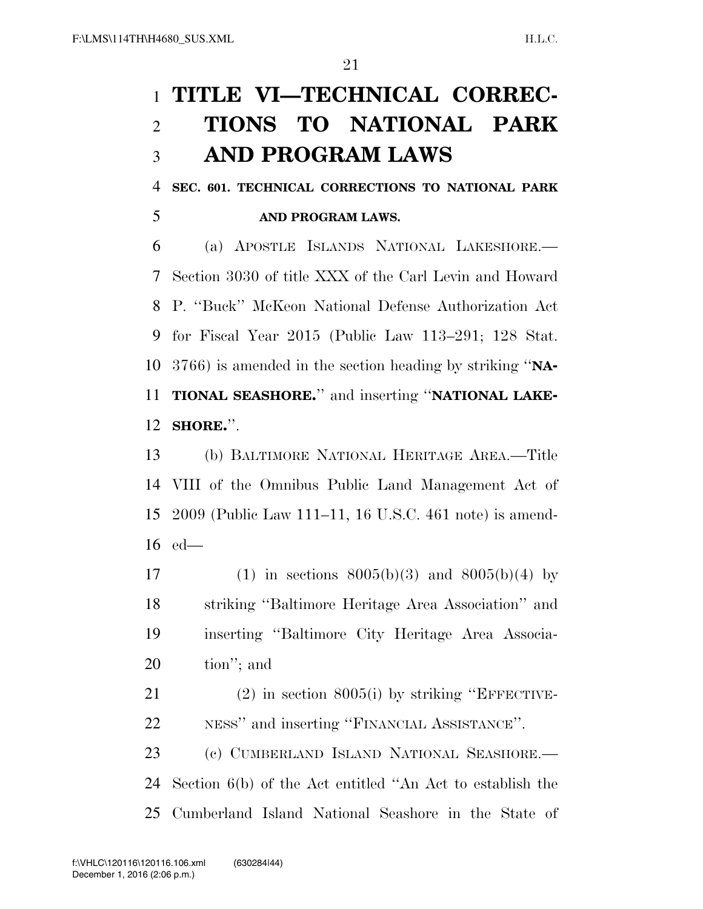# **TITLE VI—TECHNICAL CORREC- TIONS TO NATIONAL PARK AND PROGRAM LAWS**

 **SEC. 601. TECHNICAL CORRECTIONS TO NATIONAL PARK AND PROGRAM LAWS.** 

 (a) APOSTLE ISLANDS NATIONAL LAKESHORE.— Section 3030 of title XXX of the Carl Levin and Howard P. ''Buck'' McKeon National Defense Authorization Act for Fiscal Year 2015 (Public Law 113–291; 128 Stat. 3766) is amended in the section heading by striking ''**NA- TIONAL SEASHORE.**'' and inserting ''**NATIONAL LAKE-SHORE.**''.

 (b) BALTIMORE NATIONAL HERITAGE AREA.—Title VIII of the Omnibus Public Land Management Act of 2009 (Public Law 111–11, 16 U.S.C. 461 note) is amend-ed—

17 (1) in sections  $8005(b)(3)$  and  $8005(b)(4)$  by striking ''Baltimore Heritage Area Association'' and inserting ''Baltimore City Heritage Area Associa-tion''; and

 (2) in section 8005(i) by striking ''EFFECTIVE-NESS'' and inserting ''FINANCIAL ASSISTANCE''.

 (c) CUMBERLAND ISLAND NATIONAL SEASHORE.— Section 6(b) of the Act entitled ''An Act to establish the Cumberland Island National Seashore in the State of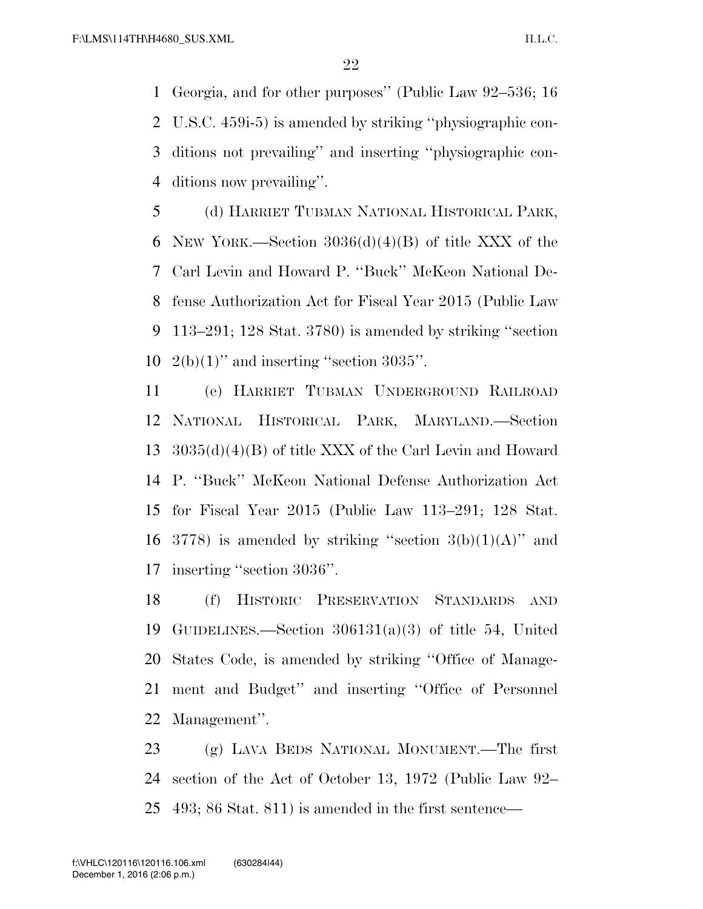Georgia, and for other purposes'' (Public Law 92–536; 16 U.S.C. 459i-5) is amended by striking ''physiographic con- ditions not prevailing'' and inserting ''physiographic con-ditions now prevailing''.

 (d) HARRIET TUBMAN NATIONAL HISTORICAL PARK, 6 NEW YORK.—Section  $3036(d)(4)(B)$  of title XXX of the Carl Levin and Howard P. ''Buck'' McKeon National De- fense Authorization Act for Fiscal Year 2015 (Public Law 113–291; 128 Stat. 3780) is amended by striking ''section  $2(b)(1)$ " and inserting "section 3035".

 (e) HARRIET TUBMAN UNDERGROUND RAILROAD NATIONAL HISTORICAL PARK, MARYLAND.—Section 3035(d)(4)(B) of title XXX of the Carl Levin and Howard P. ''Buck'' McKeon National Defense Authorization Act for Fiscal Year 2015 (Public Law 113–291; 128 Stat. 16 3778) is amended by striking "section  $3(b)(1)(A)$ " and inserting ''section 3036''.

 (f) HISTORIC PRESERVATION STANDARDS AND GUIDELINES.—Section 306131(a)(3) of title 54, United States Code, is amended by striking ''Office of Manage- ment and Budget'' and inserting ''Office of Personnel Management''.

 (g) LAVA BEDS NATIONAL MONUMENT.—The first section of the Act of October 13, 1972 (Public Law 92– 493; 86 Stat. 811) is amended in the first sentence—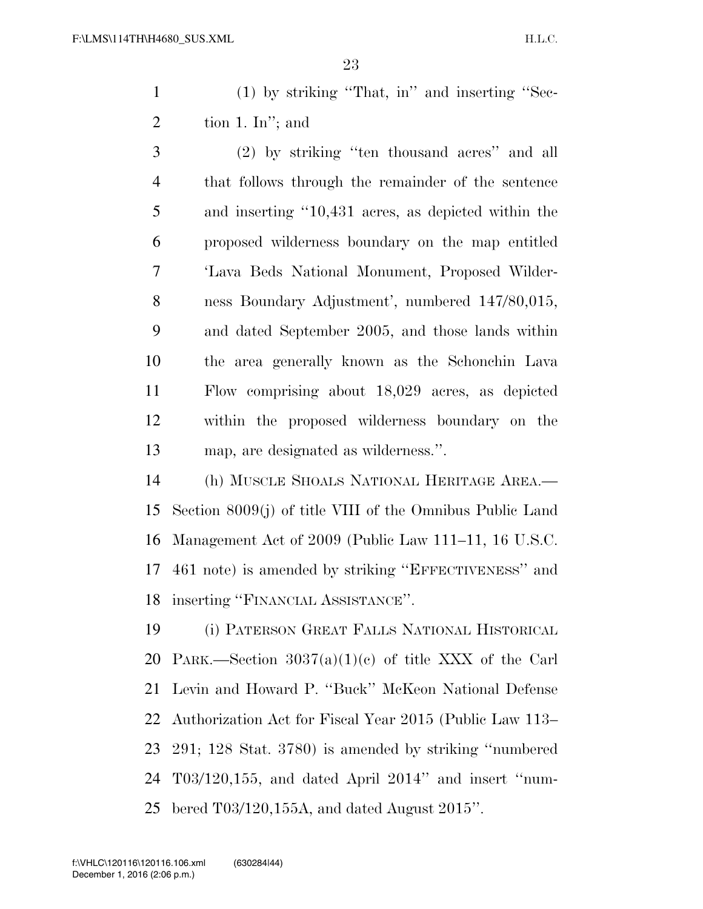(1) by striking ''That, in'' and inserting ''Sec-2 tion 1. In"; and

 (2) by striking ''ten thousand acres'' and all that follows through the remainder of the sentence and inserting ''10,431 acres, as depicted within the proposed wilderness boundary on the map entitled 'Lava Beds National Monument, Proposed Wilder- ness Boundary Adjustment', numbered 147/80,015, and dated September 2005, and those lands within the area generally known as the Schonchin Lava Flow comprising about 18,029 acres, as depicted within the proposed wilderness boundary on the map, are designated as wilderness.''.

 (h) MUSCLE SHOALS NATIONAL HERITAGE AREA.— Section 8009(j) of title VIII of the Omnibus Public Land Management Act of 2009 (Public Law 111–11, 16 U.S.C. 461 note) is amended by striking ''EFFECTIVENESS'' and inserting ''FINANCIAL ASSISTANCE''.

 (i) PATERSON GREAT FALLS NATIONAL HISTORICAL PARK.—Section 3037(a)(1)(c) of title XXX of the Carl Levin and Howard P. ''Buck'' McKeon National Defense Authorization Act for Fiscal Year 2015 (Public Law 113– 291; 128 Stat. 3780) is amended by striking ''numbered T03/120,155, and dated April 2014'' and insert ''num-bered T03/120,155A, and dated August 2015''.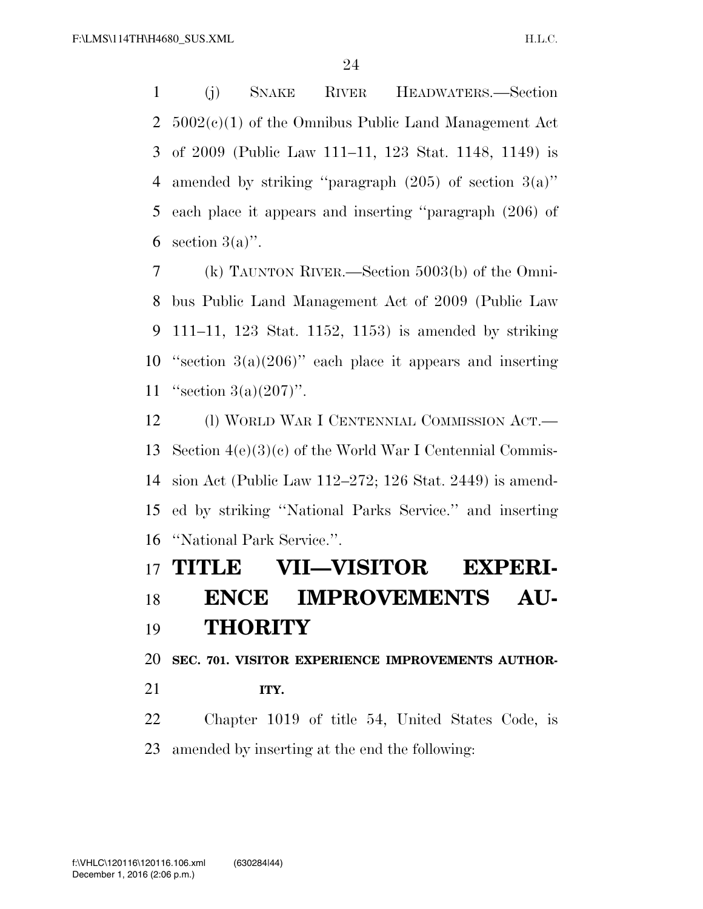(j) SNAKE RIVER HEADWATERS.—Section 5002(c)(1) of the Omnibus Public Land Management Act of 2009 (Public Law 111–11, 123 Stat. 1148, 1149) is 4 amended by striking "paragraph  $(205)$  of section  $3(a)$ " each place it appears and inserting ''paragraph (206) of 6 section  $3(a)$ ".

 (k) TAUNTON RIVER.—Section 5003(b) of the Omni- bus Public Land Management Act of 2009 (Public Law 111–11, 123 Stat. 1152, 1153) is amended by striking 10 "section  $3(a)(206)$ " each place it appears and inserting ''section 3(a)(207)''.

12 (l) WORLD WAR I CENTENNIAL COMMISSION ACT.— Section 4(e)(3)(c) of the World War I Centennial Commis- sion Act (Public Law 112–272; 126 Stat. 2449) is amend- ed by striking ''National Parks Service.'' and inserting ''National Park Service.''.

## **TITLE VII—VISITOR EXPERI-**

## **ENCE IMPROVEMENTS AU-THORITY**

**SEC. 701. VISITOR EXPERIENCE IMPROVEMENTS AUTHOR-**

**ITY.** 

 Chapter 1019 of title 54, United States Code, is amended by inserting at the end the following: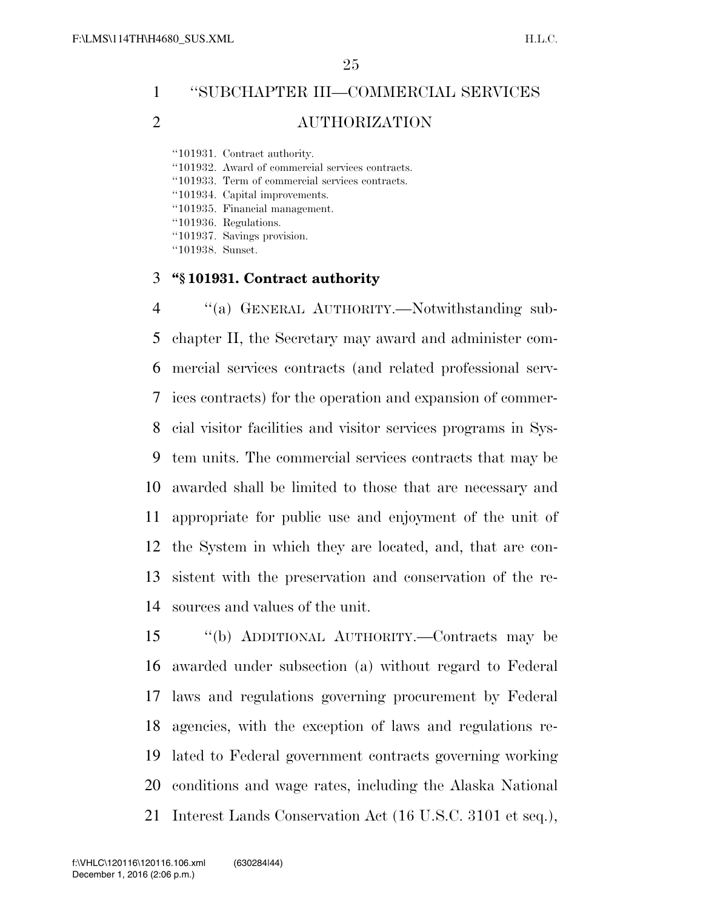## ''SUBCHAPTER III—COMMERCIAL SERVICES AUTHORIZATION

''101931. Contract authority.

''101932. Award of commercial services contracts.

''101933. Term of commercial services contracts.

''101934. Capital improvements.

''101935. Financial management.

''101936. Regulations.

''101937. Savings provision.

''101938. Sunset.

#### **''§ 101931. Contract authority**

 ''(a) GENERAL AUTHORITY.—Notwithstanding sub- chapter II, the Secretary may award and administer com- mercial services contracts (and related professional serv- ices contracts) for the operation and expansion of commer- cial visitor facilities and visitor services programs in Sys- tem units. The commercial services contracts that may be awarded shall be limited to those that are necessary and appropriate for public use and enjoyment of the unit of the System in which they are located, and, that are con- sistent with the preservation and conservation of the re-sources and values of the unit.

 ''(b) ADDITIONAL AUTHORITY.—Contracts may be awarded under subsection (a) without regard to Federal laws and regulations governing procurement by Federal agencies, with the exception of laws and regulations re- lated to Federal government contracts governing working conditions and wage rates, including the Alaska National Interest Lands Conservation Act (16 U.S.C. 3101 et seq.),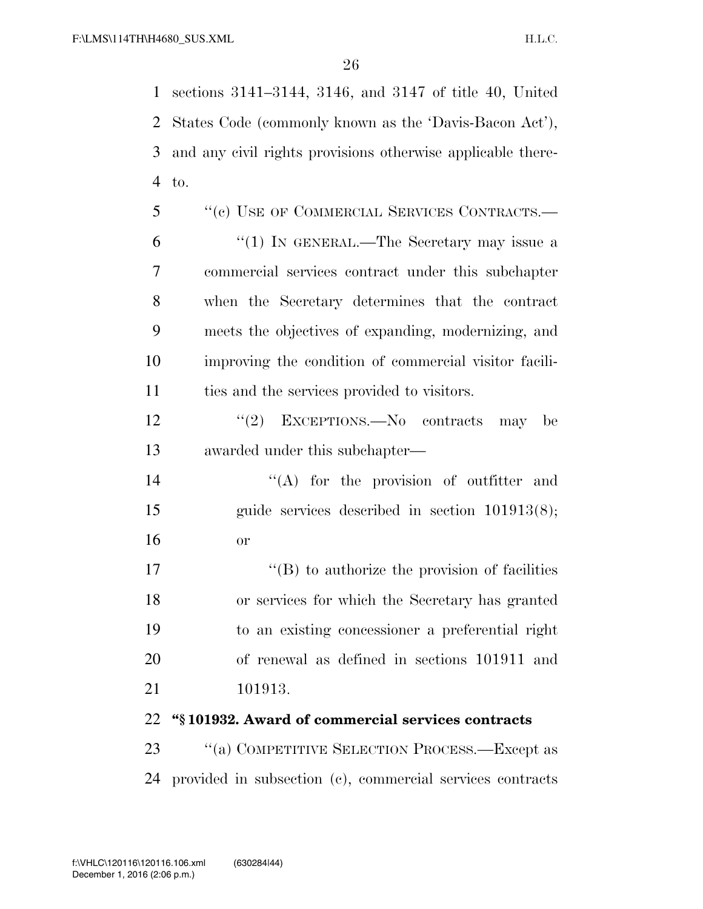sections 3141–3144, 3146, and 3147 of title 40, United States Code (commonly known as the 'Davis-Bacon Act'), and any civil rights provisions otherwise applicable there-to.

 ''(c) USE OF COMMERCIAL SERVICES CONTRACTS.— ''(1) IN GENERAL.—The Secretary may issue a commercial services contract under this subchapter when the Secretary determines that the contract meets the objectives of expanding, modernizing, and improving the condition of commercial visitor facili-ties and the services provided to visitors.

12 "(2) EXCEPTIONS.—No contracts may be awarded under this subchapter—

14  $\langle (A)$  for the provision of outfitter and guide services described in section 101913(8); or

 $\langle G \rangle$  to authorize the provision of facilities or services for which the Secretary has granted to an existing concessioner a preferential right of renewal as defined in sections 101911 and 101913.

**''§ 101932. Award of commercial services contracts** 

23 "(a) COMPETITIVE SELECTION PROCESS.—Except as provided in subsection (c), commercial services contracts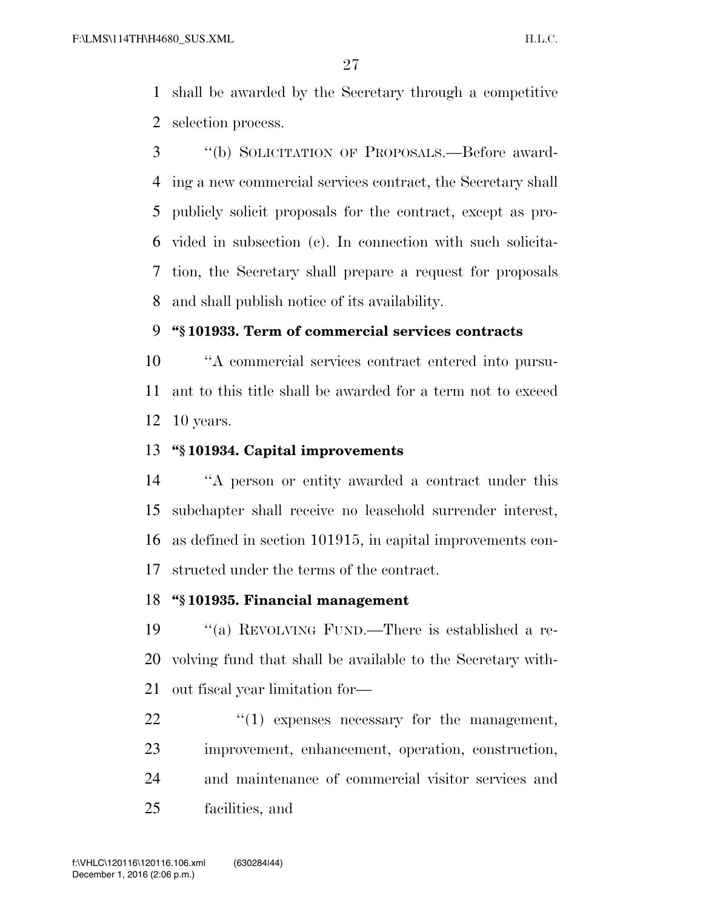shall be awarded by the Secretary through a competitive selection process.

 ''(b) SOLICITATION OF PROPOSALS.—Before award- ing a new commercial services contract, the Secretary shall publicly solicit proposals for the contract, except as pro- vided in subsection (c). In connection with such solicita- tion, the Secretary shall prepare a request for proposals and shall publish notice of its availability.

#### **''§ 101933. Term of commercial services contracts**

 ''A commercial services contract entered into pursu- ant to this title shall be awarded for a term not to exceed 10 years.

### **''§ 101934. Capital improvements**

 ''A person or entity awarded a contract under this subchapter shall receive no leasehold surrender interest, as defined in section 101915, in capital improvements con-structed under the terms of the contract.

#### **''§ 101935. Financial management**

 ''(a) REVOLVING FUND.—There is established a re- volving fund that shall be available to the Secretary with-out fiscal year limitation for—

 $\frac{1}{2}$  (1) expenses necessary for the management, improvement, enhancement, operation, construction, and maintenance of commercial visitor services and facilities, and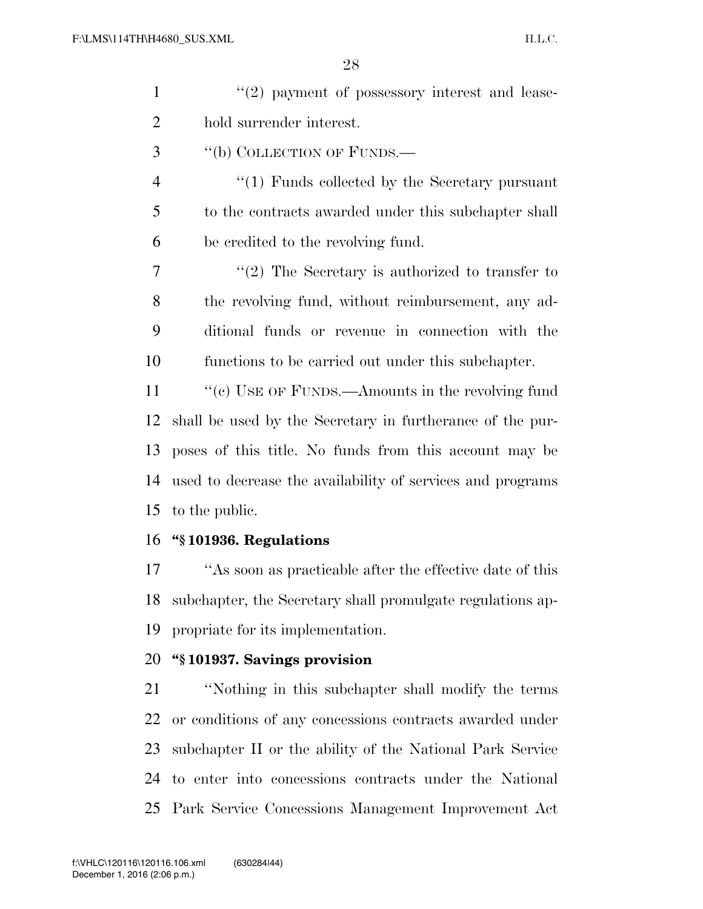| $\mathbf{1}$   | $\lq(2)$ payment of possessory interest and lease-         |
|----------------|------------------------------------------------------------|
| $\overline{2}$ | hold surrender interest.                                   |
| 3              | "(b) COLLECTION OF FUNDS.—                                 |
| 4              | $\lq(1)$ Funds collected by the Secretary pursuant         |
| 5              | to the contracts awarded under this subchapter shall       |
| 6              | be credited to the revolving fund.                         |
| 7              | $\lq(2)$ The Secretary is authorized to transfer to        |
| 8              | the revolving fund, without reimbursement, any ad-         |
| 9              | ditional funds or revenue in connection with the           |
| 10             | functions to be carried out under this subchapter.         |
| 11             | "(c) USE OF FUNDS.—Amounts in the revolving fund           |
| 12             | shall be used by the Secretary in furtherance of the pur-  |
| 13             | poses of this title. No funds from this account may be     |
| 14             | used to decrease the availability of services and programs |
| 15             | to the public.                                             |
|                | 16 "§101936. Regulations                                   |
| 17             | "As soon as practicable after the effective date of this   |
| 18             | subchapter, the Secretary shall promulgate regulations ap- |
| 19             | propriate for its implementation.                          |
| 20             | "§101937. Savings provision                                |
| 21             | "Nothing in this subchapter shall modify the terms         |
| 22             | or conditions of any concessions contracts awarded under   |
| 23             | subchapter II or the ability of the National Park Service  |
|                |                                                            |

 to enter into concessions contracts under the National Park Service Concessions Management Improvement Act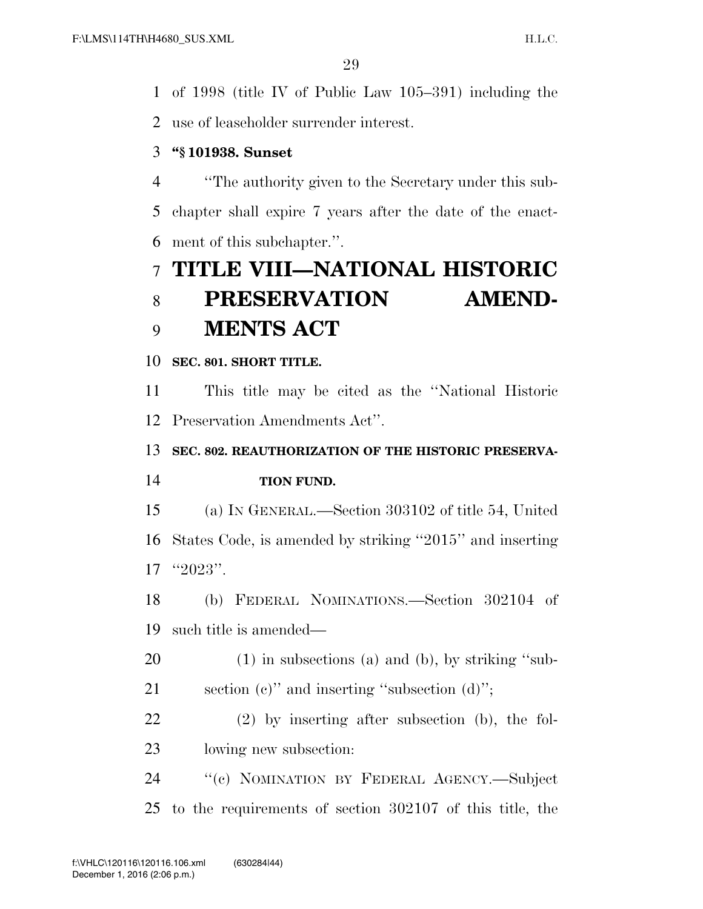of 1998 (title IV of Public Law 105–391) including the

use of leaseholder surrender interest.

## **''§ 101938. Sunset**

 ''The authority given to the Secretary under this sub- chapter shall expire 7 years after the date of the enact-ment of this subchapter.''.

# **TITLE VIII—NATIONAL HISTORIC PRESERVATION AMEND-MENTS ACT**

## **SEC. 801. SHORT TITLE.**

 This title may be cited as the ''National Historic Preservation Amendments Act''.

**SEC. 802. REAUTHORIZATION OF THE HISTORIC PRESERVA-**

## **TION FUND.**

 (a) IN GENERAL.—Section 303102 of title 54, United States Code, is amended by striking ''2015'' and inserting ''2023''.

 (b) FEDERAL NOMINATIONS.—Section 302104 of such title is amended—

(1) in subsections (a) and (b), by striking ''sub-

section (c)'' and inserting ''subsection (d)'';

 (2) by inserting after subsection (b), the fol-lowing new subsection:

 ''(c) NOMINATION BY FEDERAL AGENCY.—Subject to the requirements of section 302107 of this title, the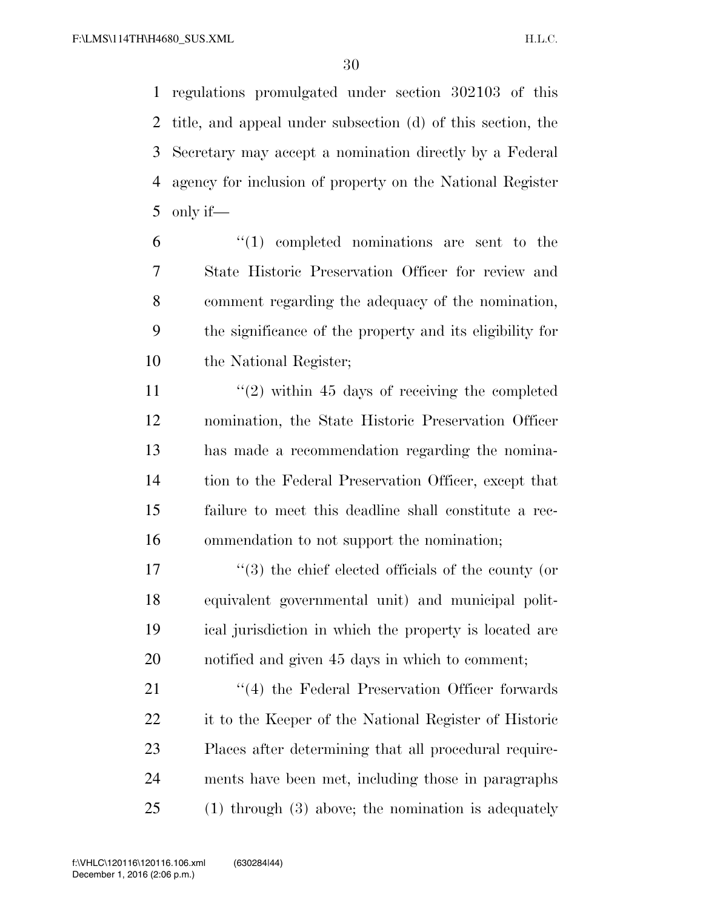regulations promulgated under section 302103 of this title, and appeal under subsection (d) of this section, the Secretary may accept a nomination directly by a Federal agency for inclusion of property on the National Register only if—

 "(1) completed nominations are sent to the State Historic Preservation Officer for review and comment regarding the adequacy of the nomination, the significance of the property and its eligibility for the National Register;

 $\frac{1}{2}$  within 45 days of receiving the completed nomination, the State Historic Preservation Officer has made a recommendation regarding the nomina- tion to the Federal Preservation Officer, except that failure to meet this deadline shall constitute a rec-ommendation to not support the nomination;

 ''(3) the chief elected officials of the county (or equivalent governmental unit) and municipal polit- ical jurisdiction in which the property is located are notified and given 45 days in which to comment;

21 ''(4) the Federal Preservation Officer forwards it to the Keeper of the National Register of Historic Places after determining that all procedural require- ments have been met, including those in paragraphs (1) through (3) above; the nomination is adequately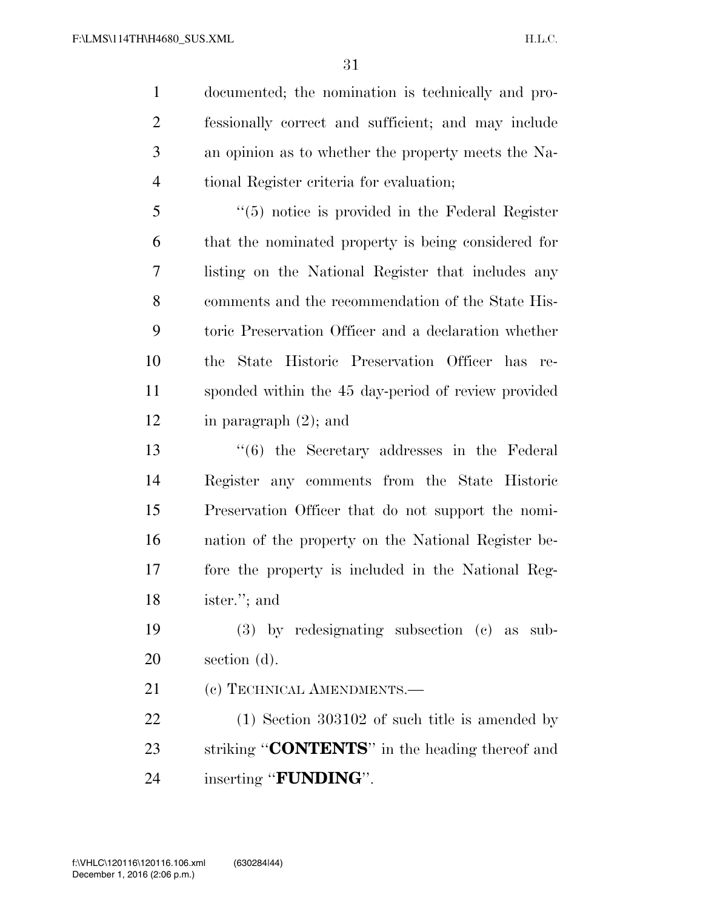documented; the nomination is technically and pro- fessionally correct and sufficient; and may include an opinion as to whether the property meets the Na-tional Register criteria for evaluation;

 ''(5) notice is provided in the Federal Register that the nominated property is being considered for listing on the National Register that includes any comments and the recommendation of the State His- toric Preservation Officer and a declaration whether the State Historic Preservation Officer has re- sponded within the 45 day-period of review provided in paragraph (2); and

 ''(6) the Secretary addresses in the Federal Register any comments from the State Historic Preservation Officer that do not support the nomi- nation of the property on the National Register be- fore the property is included in the National Reg-ister.''; and

 (3) by redesignating subsection (c) as sub-section (d).

21 (c) TECHNICAL AMENDMENTS.—

 (1) Section 303102 of such title is amended by striking ''**CONTENTS**'' in the heading thereof and inserting ''**FUNDING**''.